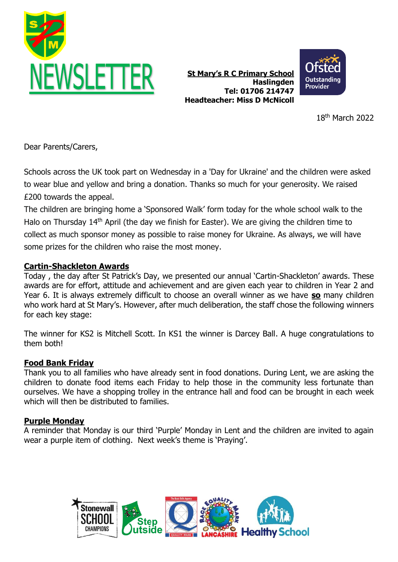

**St Mary's R C Primary School Haslingden Tel: 01706 214747 Headteacher: Miss D McNicoll**



18 th March 2022

Dear Parents/Carers,

Schools across the UK took part on Wednesday in a 'Day for Ukraine' and the children were asked to wear blue and yellow and bring a donation. Thanks so much for your generosity. We raised £200 towards the appeal.

The children are bringing home a 'Sponsored Walk' form today for the whole school walk to the Halo on Thursday 14<sup>th</sup> April (the day we finish for Easter). We are giving the children time to collect as much sponsor money as possible to raise money for Ukraine. As always, we will have some prizes for the children who raise the most money.

# **Cartin-Shackleton Awards**

Today , the day after St Patrick's Day, we presented our annual 'Cartin-Shackleton' awards. These awards are for effort, attitude and achievement and are given each year to children in Year 2 and Year 6. It is always extremely difficult to choose an overall winner as we have **so** many children who work hard at St Mary's. However, after much deliberation, the staff chose the following winners for each key stage:

The winner for KS2 is Mitchell Scott. In KS1 the winner is Darcey Ball. A huge congratulations to them both!

# **Food Bank Friday**

Thank you to all families who have already sent in food donations. During Lent, we are asking the children to donate food items each Friday to help those in the community less fortunate than ourselves. We have a shopping trolley in the entrance hall and food can be brought in each week which will then be distributed to families.

# **Purple Monday**

A reminder that Monday is our third 'Purple' Monday in Lent and the children are invited to again wear a purple item of clothing. Next week's theme is 'Praying'.